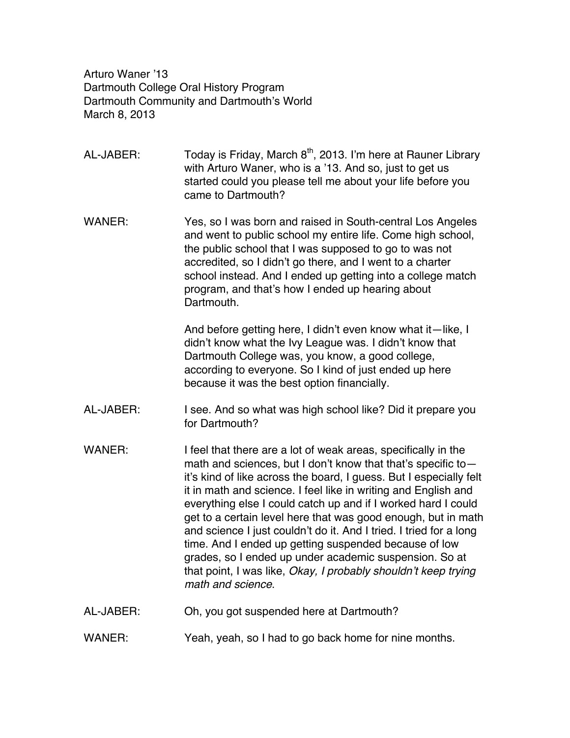Arturo Waner '13 Dartmouth College Oral History Program Dartmouth Community and Dartmouth's World March 8, 2013

- AL-JABER: Today is Friday, March  $8<sup>th</sup>$ , 2013. I'm here at Rauner Library with Arturo Waner, who is a '13. And so, just to get us started could you please tell me about your life before you came to Dartmouth?
- WANER: Yes, so I was born and raised in South-central Los Angeles and went to public school my entire life. Come high school, the public school that I was supposed to go to was not accredited, so I didn't go there, and I went to a charter school instead. And I ended up getting into a college match program, and that's how I ended up hearing about Dartmouth.

And before getting here, I didn't even know what it—like, I didn't know what the Ivy League was. I didn't know that Dartmouth College was, you know, a good college, according to everyone. So I kind of just ended up here because it was the best option financially.

- AL-JABER: I see. And so what was high school like? Did it prepare you for Dartmouth?
- WANER: I feel that there are a lot of weak areas, specifically in the math and sciences, but I don't know that that's specific to it's kind of like across the board, I guess. But I especially felt it in math and science. I feel like in writing and English and everything else I could catch up and if I worked hard I could get to a certain level here that was good enough, but in math and science I just couldn't do it. And I tried. I tried for a long time. And I ended up getting suspended because of low grades, so I ended up under academic suspension. So at that point, I was like, *Okay, I probably shouldn't keep trying math and science*.
- AL-JABER: Oh, you got suspended here at Dartmouth?
- WANER: Yeah, yeah, so I had to go back home for nine months.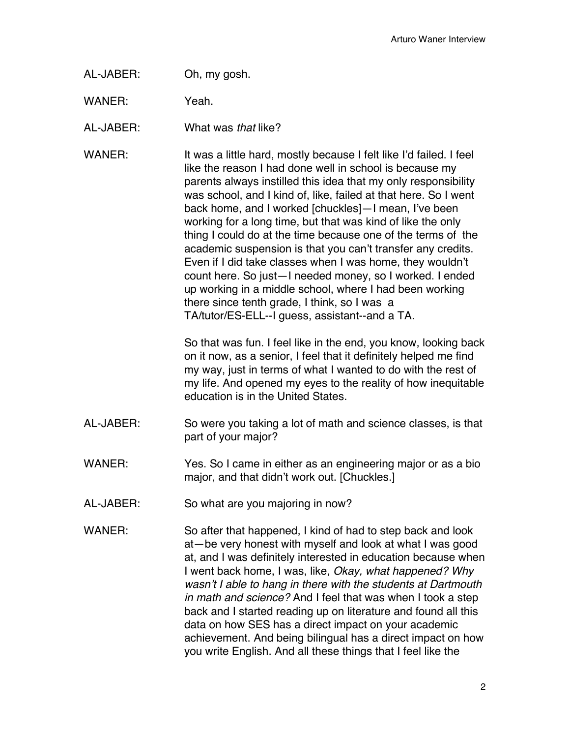AL-JABER: Oh, my gosh.

WANER: Yeah.

AL-JABER: What was *that* like?

WANER: It was a little hard, mostly because I felt like I'd failed. I feel like the reason I had done well in school is because my parents always instilled this idea that my only responsibility was school, and I kind of, like, failed at that here. So I went back home, and I worked [chuckles]—I mean, I've been working for a long time, but that was kind of like the only thing I could do at the time because one of the terms of the academic suspension is that you can't transfer any credits. Even if I did take classes when I was home, they wouldn't count here. So just—I needed money, so I worked. I ended up working in a middle school, where I had been working there since tenth grade, I think, so I was a TA/tutor/ES-ELL--I guess, assistant--and a TA.

> So that was fun. I feel like in the end, you know, looking back on it now, as a senior, I feel that it definitely helped me find my way, just in terms of what I wanted to do with the rest of my life. And opened my eyes to the reality of how inequitable education is in the United States.

- AL-JABER: So were you taking a lot of math and science classes, is that part of your major?
- WANER: Yes. So I came in either as an engineering major or as a bio major, and that didn't work out. [Chuckles.]
- AL-JABER: So what are you majoring in now?
- WANER: So after that happened, I kind of had to step back and look at—be very honest with myself and look at what I was good at, and I was definitely interested in education because when I went back home, I was, like, *Okay, what happened? Why wasn't I able to hang in there with the students at Dartmouth in math and science?* And I feel that was when I took a step back and I started reading up on literature and found all this data on how SES has a direct impact on your academic achievement. And being bilingual has a direct impact on how you write English. And all these things that I feel like the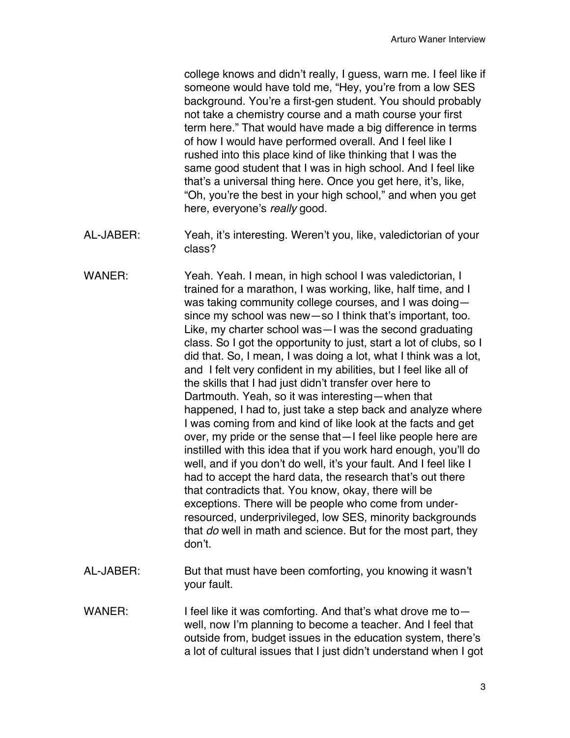college knows and didn't really, I guess, warn me. I feel like if someone would have told me, "Hey, you're from a low SES background. You're a first-gen student. You should probably not take a chemistry course and a math course your first term here." That would have made a big difference in terms of how I would have performed overall. And I feel like I rushed into this place kind of like thinking that I was the same good student that I was in high school. And I feel like that's a universal thing here. Once you get here, it's, like, "Oh, you're the best in your high school," and when you get here, everyone's *really* good.

- AL-JABER: Yeah, it's interesting. Weren't you, like, valedictorian of your class?
- WANER: Yeah. Yeah. I mean, in high school I was valedictorian, I trained for a marathon, I was working, like, half time, and I was taking community college courses, and I was doing since my school was new—so I think that's important, too. Like, my charter school was—I was the second graduating class. So I got the opportunity to just, start a lot of clubs, so I did that. So, I mean, I was doing a lot, what I think was a lot, and I felt very confident in my abilities, but I feel like all of the skills that I had just didn't transfer over here to Dartmouth. Yeah, so it was interesting—when that happened, I had to, just take a step back and analyze where I was coming from and kind of like look at the facts and get over, my pride or the sense that—I feel like people here are instilled with this idea that if you work hard enough, you'll do well, and if you don't do well, it's your fault. And I feel like I had to accept the hard data, the research that's out there that contradicts that. You know, okay, there will be exceptions. There will be people who come from underresourced, underprivileged, low SES, minority backgrounds that *do* well in math and science. But for the most part, they don't.
- AL-JABER: But that must have been comforting, you knowing it wasn't your fault.
- WANER: I feel like it was comforting. And that's what drove me towell, now I'm planning to become a teacher. And I feel that outside from, budget issues in the education system, there's a lot of cultural issues that I just didn't understand when I got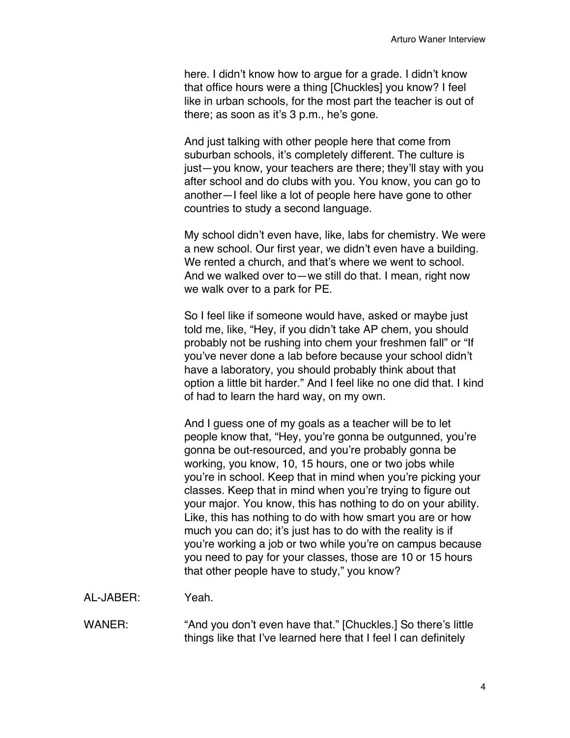here. I didn't know how to argue for a grade. I didn't know that office hours were a thing [Chuckles] you know? I feel like in urban schools, for the most part the teacher is out of there; as soon as it's 3 p.m., he's gone.

And just talking with other people here that come from suburban schools, it's completely different. The culture is just—you know, your teachers are there; they'll stay with you after school and do clubs with you. You know, you can go to another—I feel like a lot of people here have gone to other countries to study a second language.

My school didn't even have, like, labs for chemistry. We were a new school. Our first year, we didn't even have a building. We rented a church, and that's where we went to school. And we walked over to—we still do that. I mean, right now we walk over to a park for PE.

So I feel like if someone would have, asked or maybe just told me, like, "Hey, if you didn't take AP chem, you should probably not be rushing into chem your freshmen fall" or "If you've never done a lab before because your school didn't have a laboratory, you should probably think about that option a little bit harder." And I feel like no one did that. I kind of had to learn the hard way, on my own.

And I guess one of my goals as a teacher will be to let people know that, "Hey, you're gonna be outgunned, you're gonna be out-resourced, and you're probably gonna be working, you know, 10, 15 hours, one or two jobs while you're in school. Keep that in mind when you're picking your classes. Keep that in mind when you're trying to figure out your major. You know, this has nothing to do on your ability. Like, this has nothing to do with how smart you are or how much you can do; it's just has to do with the reality is if you're working a job or two while you're on campus because you need to pay for your classes, those are 10 or 15 hours that other people have to study," you know?

- AL-JABER: Yeah.
- WANER: "And you don't even have that." [Chuckles.] So there's little things like that I've learned here that I feel I can definitely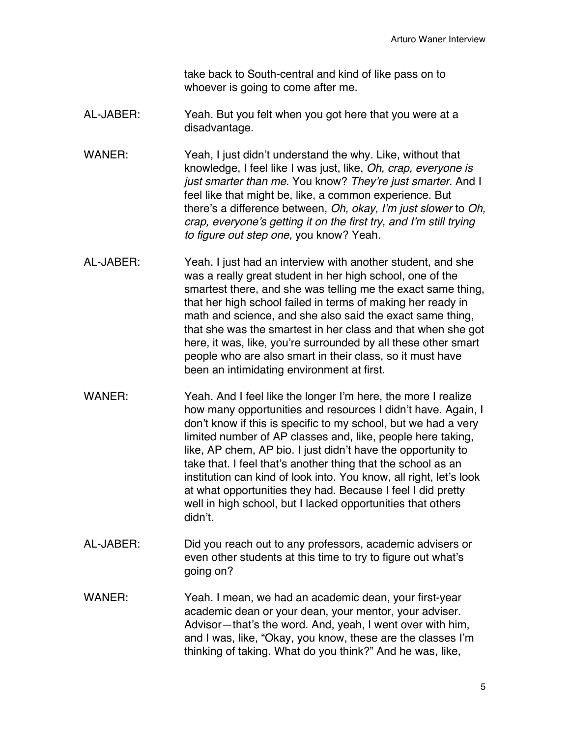take back to South-central and kind of like pass on to whoever is going to come after me.

- AL-JABER: Yeah. But you felt when you got here that you were at a disadvantage.
- WANER: Yeah, I just didn't understand the why. Like, without that knowledge, I feel like I was just, like, *Oh, crap, everyone is just smarter than me.* You know? *They're just smarter.* And I feel like that might be, like, a common experience. But there's a difference between, *Oh, okay, I'm just slower* to *Oh, crap, everyone's getting it on the first try, and I'm still trying to figure out step one,* you know? Yeah.
- AL-JABER: Yeah. I just had an interview with another student, and she was a really great student in her high school, one of the smartest there, and she was telling me the exact same thing, that her high school failed in terms of making her ready in math and science, and she also said the exact same thing, that she was the smartest in her class and that when she got here, it was, like, you're surrounded by all these other smart people who are also smart in their class, so it must have been an intimidating environment at first.
- WANER: Yeah. And I feel like the longer I'm here, the more I realize how many opportunities and resources I didn't have. Again, I don't know if this is specific to my school, but we had a very limited number of AP classes and, like, people here taking, like, AP chem, AP bio. I just didn't have the opportunity to take that. I feel that's another thing that the school as an institution can kind of look into. You know, all right, let's look at what opportunities they had. Because I feel I did pretty well in high school, but I lacked opportunities that others didn't.
- AL-JABER: Did you reach out to any professors, academic advisers or even other students at this time to try to figure out what's going on?
- WANER: Yeah. I mean, we had an academic dean, your first-year academic dean or your dean, your mentor, your adviser. Advisor—that's the word. And, yeah, I went over with him, and I was, like, "Okay, you know, these are the classes I'm thinking of taking. What do you think?" And he was, like,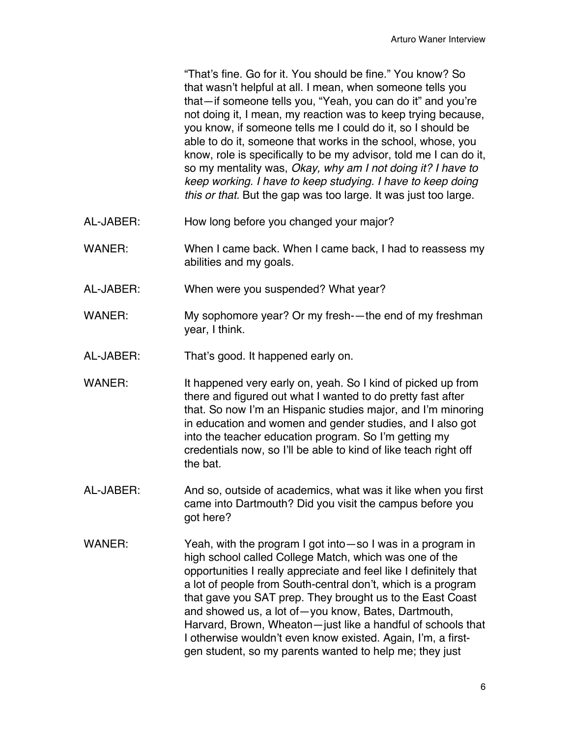"That's fine. Go for it. You should be fine." You know? So that wasn't helpful at all. I mean, when someone tells you that—if someone tells you, "Yeah, you can do it" and you're not doing it, I mean, my reaction was to keep trying because, you know, if someone tells me I could do it, so I should be able to do it, someone that works in the school, whose, you know, role is specifically to be my advisor, told me I can do it, so my mentality was, *Okay, why am I not doing it? I have to keep working. I have to keep studying. I have to keep doing this or that.* But the gap was too large. It was just too large.

- AL-JABER: How long before you changed your major?
- WANER: When I came back. When I came back, I had to reassess my abilities and my goals.
- AL-JABER: When were you suspended? What year?
- WANER: My sophomore year? Or my fresh-—the end of my freshman year, I think.
- AL-JABER: That's good. It happened early on.
- WANER: It happened very early on, yeah. So I kind of picked up from there and figured out what I wanted to do pretty fast after that. So now I'm an Hispanic studies major, and I'm minoring in education and women and gender studies, and I also got into the teacher education program. So I'm getting my credentials now, so I'll be able to kind of like teach right off the bat.
- AL-JABER: And so, outside of academics, what was it like when you first came into Dartmouth? Did you visit the campus before you got here?
- WANER: Yeah, with the program I got into —so I was in a program in high school called College Match, which was one of the opportunities I really appreciate and feel like I definitely that a lot of people from South-central don't, which is a program that gave you SAT prep. They brought us to the East Coast and showed us, a lot of—you know, Bates, Dartmouth, Harvard, Brown, Wheaton—just like a handful of schools that I otherwise wouldn't even know existed. Again, I'm, a firstgen student, so my parents wanted to help me; they just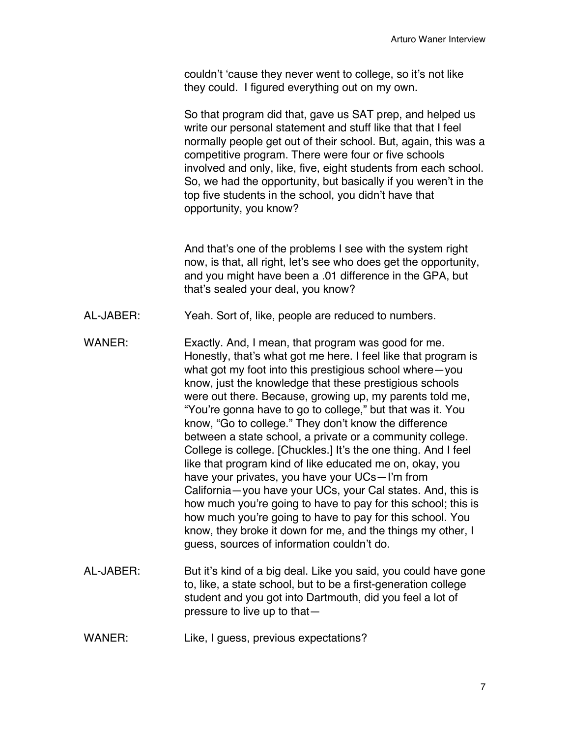couldn't 'cause they never went to college, so it's not like they could. I figured everything out on my own.

So that program did that, gave us SAT prep, and helped us write our personal statement and stuff like that that I feel normally people get out of their school. But, again, this was a competitive program. There were four or five schools involved and only, like, five, eight students from each school. So, we had the opportunity, but basically if you weren't in the top five students in the school, you didn't have that opportunity, you know?

And that's one of the problems I see with the system right now, is that, all right, let's see who does get the opportunity, and you might have been a .01 difference in the GPA, but that's sealed your deal, you know?

- AL-JABER: Yeah. Sort of, like, people are reduced to numbers.
- WANER: Exactly. And, I mean, that program was good for me. Honestly, that's what got me here. I feel like that program is what got my foot into this prestigious school where—you know, just the knowledge that these prestigious schools were out there. Because, growing up, my parents told me, "You're gonna have to go to college," but that was it. You know, "Go to college." They don't know the difference between a state school, a private or a community college. College is college. [Chuckles.] It's the one thing. And I feel like that program kind of like educated me on, okay, you have your privates, you have your UCs—I'm from California—you have your UCs, your Cal states. And, this is how much you're going to have to pay for this school; this is how much you're going to have to pay for this school. You know, they broke it down for me, and the things my other, I guess, sources of information couldn't do.
- AL-JABER: But it's kind of a big deal. Like you said, you could have gone to, like, a state school, but to be a first-generation college student and you got into Dartmouth, did you feel a lot of pressure to live up to that—
- WANER: Like, I guess, previous expectations?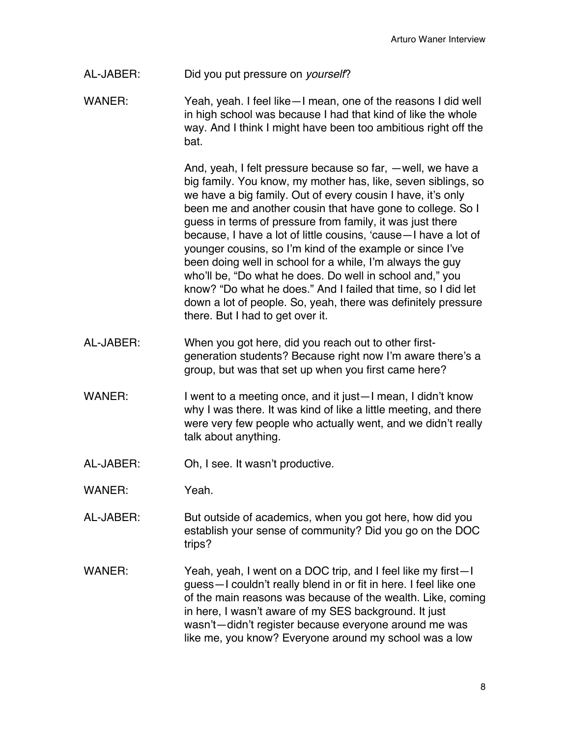## AL-JABER: Did you put pressure on *yourself*?

WANER: Yeah, yeah. I feel like—I mean, one of the reasons I did well in high school was because I had that kind of like the whole way. And I think I might have been too ambitious right off the bat.

> And, yeah, I felt pressure because so far, —well, we have a big family. You know, my mother has, like, seven siblings, so we have a big family. Out of every cousin I have, it's only been me and another cousin that have gone to college. So I guess in terms of pressure from family, it was just there because, I have a lot of little cousins, 'cause—I have a lot of younger cousins, so I'm kind of the example or since I've been doing well in school for a while, I'm always the guy who'll be, "Do what he does. Do well in school and," you know? "Do what he does." And I failed that time, so I did let down a lot of people. So, yeah, there was definitely pressure there. But I had to get over it.

- AL-JABER: When you got here, did you reach out to other firstgeneration students? Because right now I'm aware there's a group, but was that set up when you first came here?
- WANER: I went to a meeting once, and it just—I mean, I didn't know why I was there. It was kind of like a little meeting, and there were very few people who actually went, and we didn't really talk about anything.
- AL-JABER: Oh, I see. It wasn't productive.
- WANER: Yeah.
- AL-JABER: But outside of academics, when you got here, how did you establish your sense of community? Did you go on the DOC trips?
- WANER: Yeah, yeah, I went on a DOC trip, and I feel like my first—I guess—I couldn't really blend in or fit in here. I feel like one of the main reasons was because of the wealth. Like, coming in here, I wasn't aware of my SES background. It just wasn't—didn't register because everyone around me was like me, you know? Everyone around my school was a low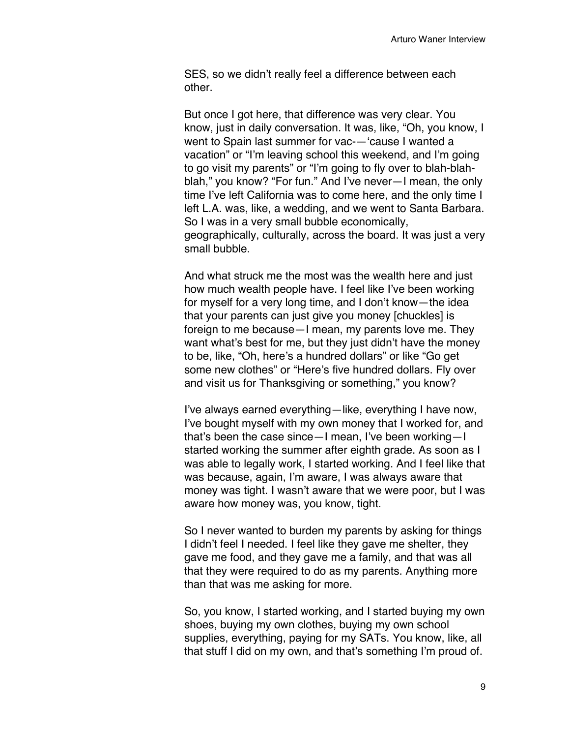SES, so we didn't really feel a difference between each other.

But once I got here, that difference was very clear. You know, just in daily conversation. It was, like, "Oh, you know, I went to Spain last summer for vac-—'cause I wanted a vacation" or "I'm leaving school this weekend, and I'm going to go visit my parents" or "I'm going to fly over to blah-blahblah," you know? "For fun." And I've never—I mean, the only time I've left California was to come here, and the only time I left L.A. was, like, a wedding, and we went to Santa Barbara. So I was in a very small bubble economically, geographically, culturally, across the board. It was just a very small bubble.

And what struck me the most was the wealth here and just how much wealth people have. I feel like I've been working for myself for a very long time, and I don't know—the idea that your parents can just give you money [chuckles] is foreign to me because—I mean, my parents love me. They want what's best for me, but they just didn't have the money to be, like, "Oh, here's a hundred dollars" or like "Go get some new clothes" or "Here's five hundred dollars. Fly over and visit us for Thanksgiving or something," you know?

I've always earned everything—like, everything I have now, I've bought myself with my own money that I worked for, and that's been the case since—I mean, I've been working—I started working the summer after eighth grade. As soon as I was able to legally work, I started working. And I feel like that was because, again, I'm aware, I was always aware that money was tight. I wasn't aware that we were poor, but I was aware how money was, you know, tight.

So I never wanted to burden my parents by asking for things I didn't feel I needed. I feel like they gave me shelter, they gave me food, and they gave me a family, and that was all that they were required to do as my parents. Anything more than that was me asking for more.

So, you know, I started working, and I started buying my own shoes, buying my own clothes, buying my own school supplies, everything, paying for my SATs. You know, like, all that stuff I did on my own, and that's something I'm proud of.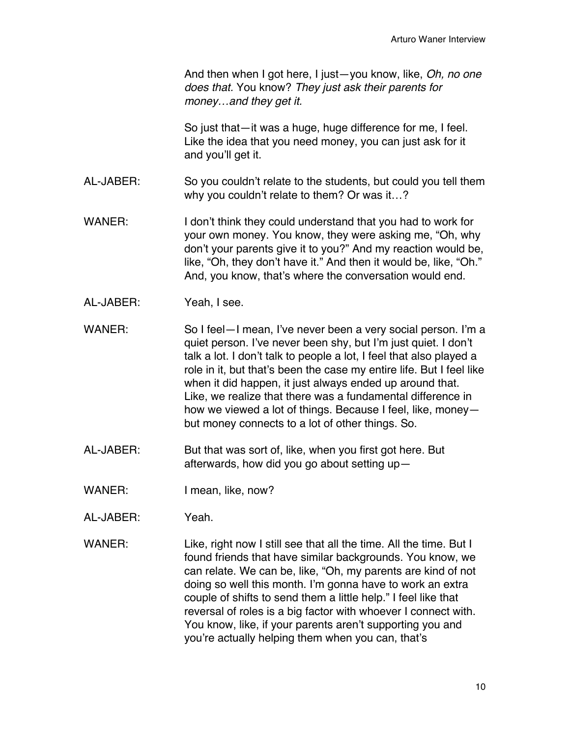And then when I got here, I just—you know, like, *Oh, no one does that.* You know? *They just ask their parents for money…and they get it.*

So just that—it was a huge, huge difference for me, I feel. Like the idea that you need money, you can just ask for it and you'll get it.

- AL-JABER: So you couldn't relate to the students, but could you tell them why you couldn't relate to them? Or was it…?
- WANER: I don't think they could understand that you had to work for your own money. You know, they were asking me, "Oh, why don't your parents give it to you?" And my reaction would be, like, "Oh, they don't have it." And then it would be, like, "Oh." And, you know, that's where the conversation would end.
- AL-JABER: Yeah, I see.
- WANER: So I feel—I mean, I've never been a very social person. I'm a quiet person. I've never been shy, but I'm just quiet. I don't talk a lot. I don't talk to people a lot, I feel that also played a role in it, but that's been the case my entire life. But I feel like when it did happen, it just always ended up around that. Like, we realize that there was a fundamental difference in how we viewed a lot of things. Because I feel, like, money but money connects to a lot of other things. So.
- AL-JABER: But that was sort of, like, when you first got here. But afterwards, how did you go about setting up—
- WANER: I mean, like, now?
- AL-JABER: Yeah.
- WANER: Like, right now I still see that all the time. All the time. But I found friends that have similar backgrounds. You know, we can relate. We can be, like, "Oh, my parents are kind of not doing so well this month. I'm gonna have to work an extra couple of shifts to send them a little help." I feel like that reversal of roles is a big factor with whoever I connect with. You know, like, if your parents aren't supporting you and you're actually helping them when you can, that's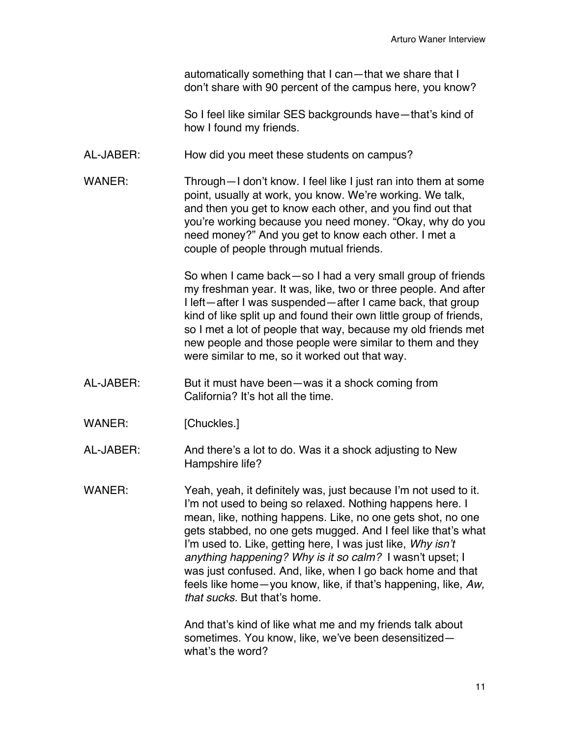automatically something that I can—that we share that I don't share with 90 percent of the campus here, you know?

So I feel like similar SES backgrounds have—that's kind of how I found my friends.

- AL-JABER: How did you meet these students on campus?
- WANER: Through—I don't know. I feel like I just ran into them at some point, usually at work, you know. We're working. We talk, and then you get to know each other, and you find out that you're working because you need money. "Okay, why do you need money?" And you get to know each other. I met a couple of people through mutual friends.

So when I came back—so I had a very small group of friends my freshman year. It was, like, two or three people. And after I left—after I was suspended—after I came back, that group kind of like split up and found their own little group of friends, so I met a lot of people that way, because my old friends met new people and those people were similar to them and they were similar to me, so it worked out that way.

- AL-JABER: But it must have been—was it a shock coming from California? It's hot all the time.
- WANER: [Chuckles.]
- AL-JABER: And there's a lot to do. Was it a shock adjusting to New Hampshire life?
- WANER: Yeah, yeah, it definitely was, just because I'm not used to it. I'm not used to being so relaxed. Nothing happens here. I mean, like, nothing happens. Like, no one gets shot, no one gets stabbed, no one gets mugged. And I feel like that's what I'm used to. Like, getting here, I was just like, *Why isn't anything happening? Why is it so calm?* I wasn't upset; I was just confused. And, like, when I go back home and that feels like home—you know, like, if that's happening, like, *Aw, that sucks.* But that's home.

And that's kind of like what me and my friends talk about sometimes. You know, like, we've been desensitized what's the word?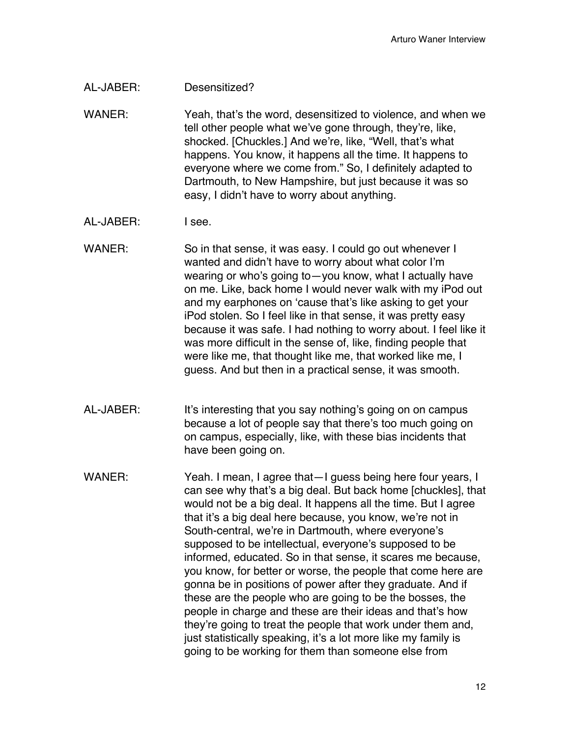## AL-JABER: Desensitized?

WANER: Yeah, that's the word, desensitized to violence, and when we tell other people what we've gone through, they're, like, shocked. [Chuckles.] And we're, like, "Well, that's what happens. You know, it happens all the time. It happens to everyone where we come from." So, I definitely adapted to Dartmouth, to New Hampshire, but just because it was so easy, I didn't have to worry about anything.

## AL-JABER: I see.

WANER: So in that sense, it was easy. I could go out whenever I wanted and didn't have to worry about what color I'm wearing or who's going to—you know, what I actually have on me. Like, back home I would never walk with my iPod out and my earphones on 'cause that's like asking to get your iPod stolen. So I feel like in that sense, it was pretty easy because it was safe. I had nothing to worry about. I feel like it was more difficult in the sense of, like, finding people that were like me, that thought like me, that worked like me, I guess. And but then in a practical sense, it was smooth.

- AL-JABER: It's interesting that you say nothing's going on on campus because a lot of people say that there's too much going on on campus, especially, like, with these bias incidents that have been going on.
- WANER: Yeah. I mean, I agree that I guess being here four years, I can see why that's a big deal. But back home [chuckles], that would not be a big deal. It happens all the time. But I agree that it's a big deal here because, you know, we're not in South-central, we're in Dartmouth, where everyone's supposed to be intellectual, everyone's supposed to be informed, educated. So in that sense, it scares me because, you know, for better or worse, the people that come here are gonna be in positions of power after they graduate. And if these are the people who are going to be the bosses, the people in charge and these are their ideas and that's how they're going to treat the people that work under them and, just statistically speaking, it's a lot more like my family is going to be working for them than someone else from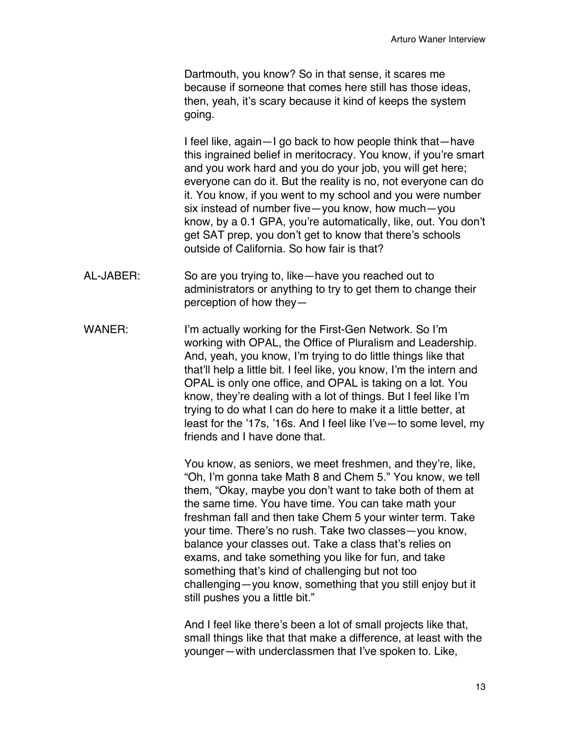Dartmouth, you know? So in that sense, it scares me because if someone that comes here still has those ideas, then, yeah, it's scary because it kind of keeps the system going.

I feel like, again—I go back to how people think that—have this ingrained belief in meritocracy. You know, if you're smart and you work hard and you do your job, you will get here; everyone can do it. But the reality is no, not everyone can do it. You know, if you went to my school and you were number six instead of number five—you know, how much—you know, by a 0.1 GPA, you're automatically, like, out. You don't get SAT prep, you don't get to know that there's schools outside of California. So how fair is that?

- AL-JABER: So are you trying to, like—have you reached out to administrators or anything to try to get them to change their perception of how they—
- WANER: I'm actually working for the First-Gen Network. So I'm working with OPAL, the Office of Pluralism and Leadership. And, yeah, you know, I'm trying to do little things like that that'll help a little bit. I feel like, you know, I'm the intern and OPAL is only one office, and OPAL is taking on a lot. You know, they're dealing with a lot of things. But I feel like I'm trying to do what I can do here to make it a little better, at least for the '17s, '16s. And I feel like I've—to some level, my friends and I have done that.

You know, as seniors, we meet freshmen, and they're, like, "Oh, I'm gonna take Math 8 and Chem 5." You know, we tell them, "Okay, maybe you don't want to take both of them at the same time. You have time. You can take math your freshman fall and then take Chem 5 your winter term. Take your time. There's no rush. Take two classes—you know, balance your classes out. Take a class that's relies on exams, and take something you like for fun, and take something that's kind of challenging but not too challenging—you know, something that you still enjoy but it still pushes you a little bit."

And I feel like there's been a lot of small projects like that, small things like that that make a difference, at least with the younger—with underclassmen that I've spoken to. Like,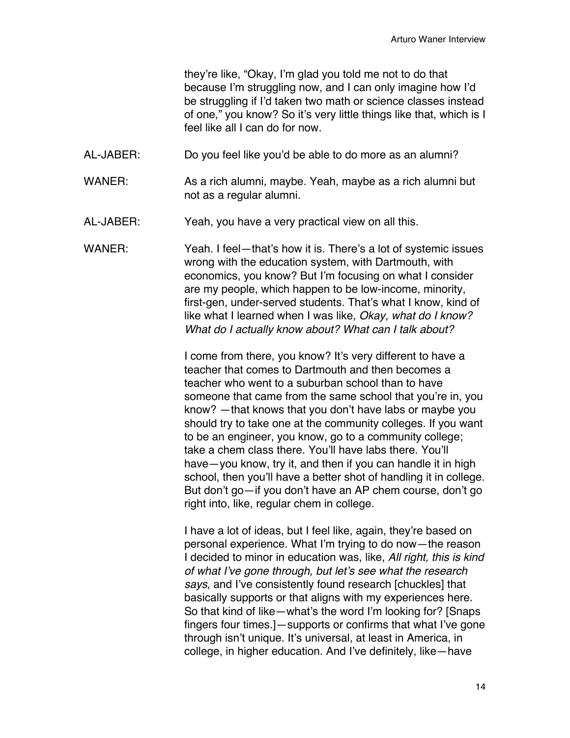they're like, "Okay, I'm glad you told me not to do that because I'm struggling now, and I can only imagine how I'd be struggling if I'd taken two math or science classes instead of one," you know? So it's very little things like that, which is I feel like all I can do for now.

- AL-JABER: Do you feel like you'd be able to do more as an alumni?
- WANER: As a rich alumni, maybe. Yeah, maybe as a rich alumni but not as a regular alumni.
- AL-JABER: Yeah, you have a very practical view on all this.
- WANER: Yeah. I feel—that's how it is. There's a lot of systemic issues wrong with the education system, with Dartmouth, with economics, you know? But I'm focusing on what I consider are my people, which happen to be low-income, minority, first-gen, under-served students. That's what I know, kind of like what I learned when I was like, *Okay, what do I know? What do I actually know about? What can I talk about?*

I come from there, you know? It's very different to have a teacher that comes to Dartmouth and then becomes a teacher who went to a suburban school than to have someone that came from the same school that you're in, you know? —that knows that you don't have labs or maybe you should try to take one at the community colleges. If you want to be an engineer, you know, go to a community college; take a chem class there. You'll have labs there. You'll have—you know, try it, and then if you can handle it in high school, then you'll have a better shot of handling it in college. But don't go—if you don't have an AP chem course, don't go right into, like, regular chem in college.

I have a lot of ideas, but I feel like, again, they're based on personal experience. What I'm trying to do now—the reason I decided to minor in education was, like, *All right, this is kind of what I've gone through, but let's see what the research says*, and I've consistently found research [chuckles] that basically supports or that aligns with my experiences here. So that kind of like—what's the word I'm looking for? [Snaps fingers four times.]—supports or confirms that what I've gone through isn't unique. It's universal, at least in America, in college, in higher education. And I've definitely, like—have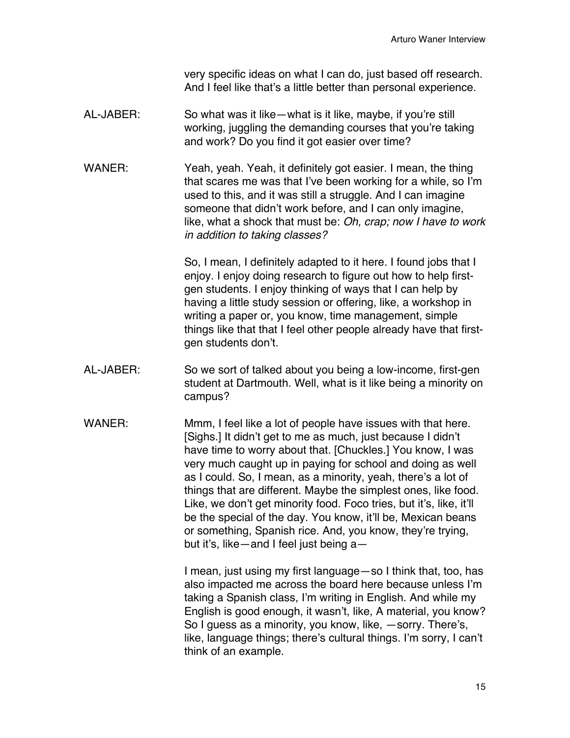very specific ideas on what I can do, just based off research. And I feel like that's a little better than personal experience.

- AL-JABER: So what was it like—what is it like, maybe, if you're still working, juggling the demanding courses that you're taking and work? Do you find it got easier over time?
- WANER: Yeah, yeah. Yeah, it definitely got easier. I mean, the thing that scares me was that I've been working for a while, so I'm used to this, and it was still a struggle. And I can imagine someone that didn't work before, and I can only imagine, like, what a shock that must be: *Oh, crap; now I have to work in addition to taking classes?*

So, I mean, I definitely adapted to it here. I found jobs that I enjoy. I enjoy doing research to figure out how to help firstgen students. I enjoy thinking of ways that I can help by having a little study session or offering, like, a workshop in writing a paper or, you know, time management, simple things like that that I feel other people already have that firstgen students don't.

- AL-JABER: So we sort of talked about you being a low-income, first-gen student at Dartmouth. Well, what is it like being a minority on campus?
- WANER: Mmm, I feel like a lot of people have issues with that here. [Sighs.] It didn't get to me as much, just because I didn't have time to worry about that. [Chuckles.] You know, I was very much caught up in paying for school and doing as well as I could. So, I mean, as a minority, yeah, there's a lot of things that are different. Maybe the simplest ones, like food. Like, we don't get minority food. Foco tries, but it's, like, it'll be the special of the day. You know, it'll be, Mexican beans or something, Spanish rice. And, you know, they're trying, but it's, like—and I feel just being a—

I mean, just using my first language—so I think that, too, has also impacted me across the board here because unless I'm taking a Spanish class, I'm writing in English. And while my English is good enough, it wasn't, like, A material, you know? So I guess as a minority, you know, like, —sorry. There's, like, language things; there's cultural things. I'm sorry, I can't think of an example.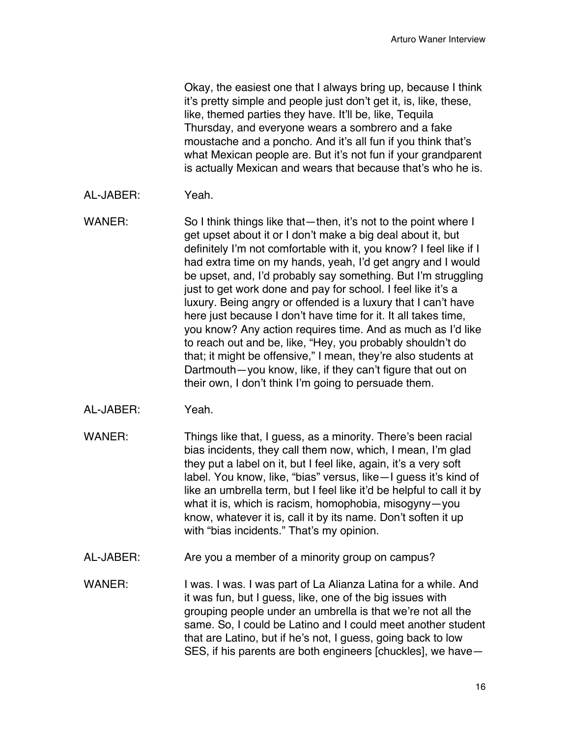Okay, the easiest one that I always bring up, because I think it's pretty simple and people just don't get it, is, like, these, like, themed parties they have. It'll be, like, Tequila Thursday, and everyone wears a sombrero and a fake moustache and a poncho. And it's all fun if you think that's what Mexican people are. But it's not fun if your grandparent is actually Mexican and wears that because that's who he is.

- AL-JABER: Yeah.
- WANER: So I think things like that—then, it's not to the point where I get upset about it or I don't make a big deal about it, but definitely I'm not comfortable with it, you know? I feel like if I had extra time on my hands, yeah, I'd get angry and I would be upset, and, I'd probably say something. But I'm struggling just to get work done and pay for school. I feel like it's a luxury. Being angry or offended is a luxury that I can't have here just because I don't have time for it. It all takes time, you know? Any action requires time. And as much as I'd like to reach out and be, like, "Hey, you probably shouldn't do that; it might be offensive," I mean, they're also students at Dartmouth—you know, like, if they can't figure that out on their own, I don't think I'm going to persuade them.
- AL-JABER: Yeah.
- WANER: Things like that, I guess, as a minority. There's been racial bias incidents, they call them now, which, I mean, I'm glad they put a label on it, but I feel like, again, it's a very soft label. You know, like, "bias" versus, like—I guess it's kind of like an umbrella term, but I feel like it'd be helpful to call it by what it is, which is racism, homophobia, misogyny—you know, whatever it is, call it by its name. Don't soften it up with "bias incidents." That's my opinion.
- AL-JABER: Are you a member of a minority group on campus?
- WANER: I was. I was. I was part of La Alianza Latina for a while. And it was fun, but I guess, like, one of the big issues with grouping people under an umbrella is that we're not all the same. So, I could be Latino and I could meet another student that are Latino, but if he's not, I guess, going back to low SES, if his parents are both engineers [chuckles], we have—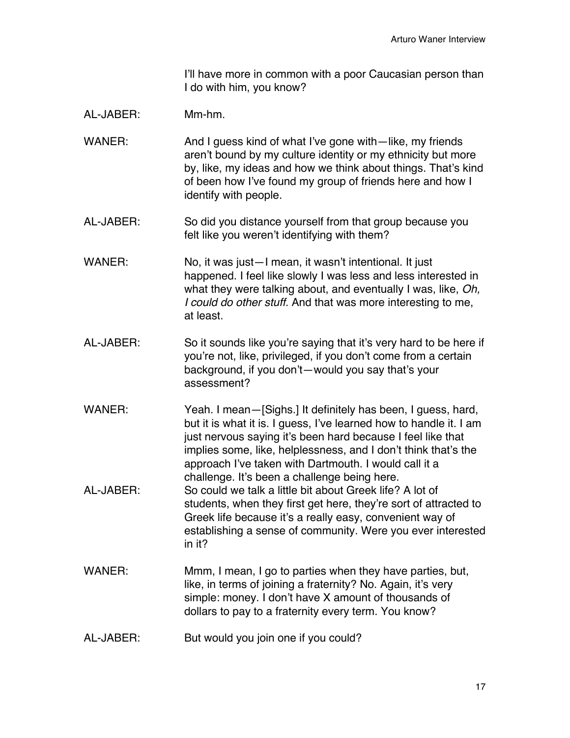I'll have more in common with a poor Caucasian person than I do with him, you know?

## AL-JABER: Mm-hm.

- WANER: And I guess kind of what I've gone with—like, my friends aren't bound by my culture identity or my ethnicity but more by, like, my ideas and how we think about things. That's kind of been how I've found my group of friends here and how I identify with people.
- AL-JABER: So did you distance yourself from that group because you felt like you weren't identifying with them?
- WANER: No, it was just—I mean, it wasn't intentional. It just happened. I feel like slowly I was less and less interested in what they were talking about, and eventually I was, like, *Oh, I could do other stuff.* And that was more interesting to me, at least.
- AL-JABER: So it sounds like you're saying that it's very hard to be here if you're not, like, privileged, if you don't come from a certain background, if you don't—would you say that's your assessment?
- WANER: Yeah. I mean—[Sighs.] It definitely has been, I guess, hard, but it is what it is. I guess, I've learned how to handle it. I am just nervous saying it's been hard because I feel like that implies some, like, helplessness, and I don't think that's the approach I've taken with Dartmouth. I would call it a challenge. It's been a challenge being here. AL-JABER: So could we talk a little bit about Greek life? A lot of students, when they first get here, they're sort of attracted to Greek life because it's a really easy, convenient way of establishing a sense of community. Were you ever interested in it?
- WANER: Mmm, I mean, I go to parties when they have parties, but, like, in terms of joining a fraternity? No. Again, it's very simple: money. I don't have X amount of thousands of dollars to pay to a fraternity every term. You know?
- AL-JABER: But would you join one if you could?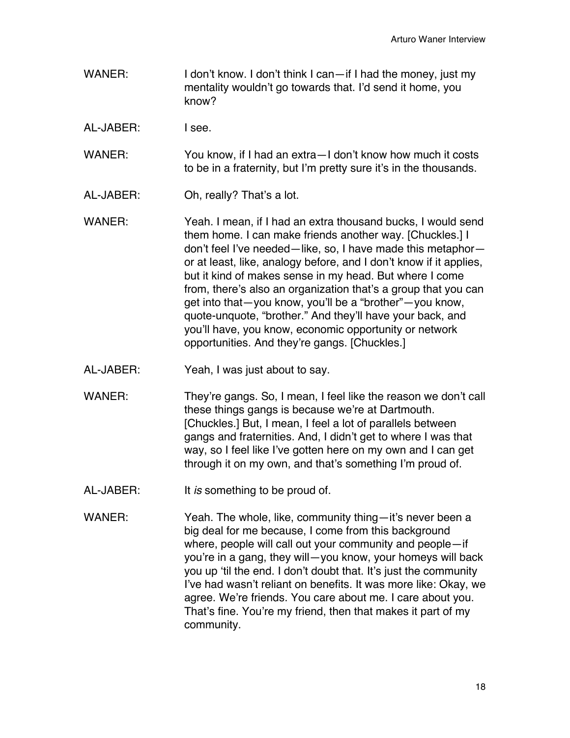- WANER: I don't know. I don't think I can—if I had the money, just my mentality wouldn't go towards that. I'd send it home, you know?
- AL-JABER: I see.

WANER: You know, if I had an extra - I don't know how much it costs to be in a fraternity, but I'm pretty sure it's in the thousands.

- AL-JABER: Oh, really? That's a lot.
- WANER: Yeah. I mean, if I had an extra thousand bucks, I would send them home. I can make friends another way. [Chuckles.] I don't feel I've needed—like, so, I have made this metaphor or at least, like, analogy before, and I don't know if it applies, but it kind of makes sense in my head. But where I come from, there's also an organization that's a group that you can get into that—you know, you'll be a "brother"—you know, quote-unquote, "brother." And they'll have your back, and you'll have, you know, economic opportunity or network opportunities. And they're gangs. [Chuckles.]
- AL-JABER: Yeah, I was just about to say.
- WANER: They're gangs. So, I mean, I feel like the reason we don't call these things gangs is because we're at Dartmouth. [Chuckles.] But, I mean, I feel a lot of parallels between gangs and fraternities. And, I didn't get to where I was that way, so I feel like I've gotten here on my own and I can get through it on my own, and that's something I'm proud of.
- AL-JABER: It *is* something to be proud of.
- WANER: Yeah. The whole, like, community thing-it's never been a big deal for me because, I come from this background where, people will call out your community and people—if you're in a gang, they will—you know, your homeys will back you up 'til the end. I don't doubt that. It's just the community I've had wasn't reliant on benefits. It was more like: Okay, we agree. We're friends. You care about me. I care about you. That's fine. You're my friend, then that makes it part of my community.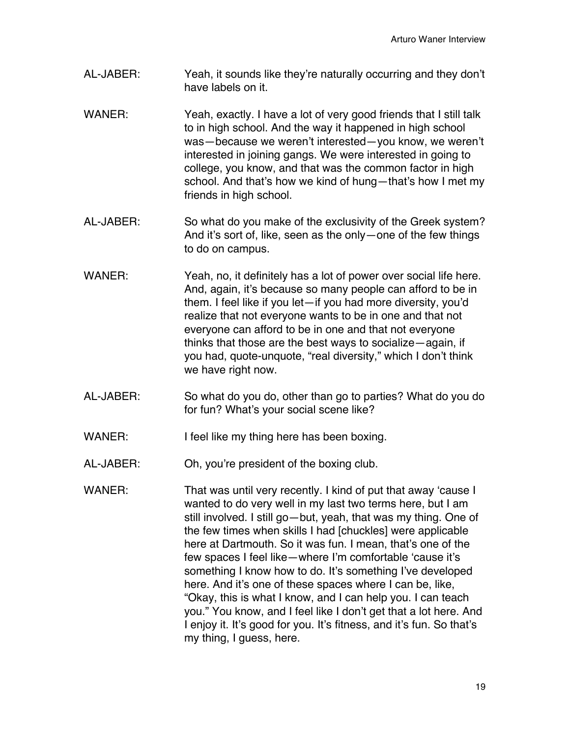- AL-JABER: Yeah, it sounds like they're naturally occurring and they don't have labels on it.
- WANER: Yeah, exactly. I have a lot of very good friends that I still talk to in high school. And the way it happened in high school was—because we weren't interested—you know, we weren't interested in joining gangs. We were interested in going to college, you know, and that was the common factor in high school. And that's how we kind of hung—that's how I met my friends in high school.
- AL-JABER: So what do you make of the exclusivity of the Greek system? And it's sort of, like, seen as the only—one of the few things to do on campus.
- WANER: Yeah, no, it definitely has a lot of power over social life here. And, again, it's because so many people can afford to be in them. I feel like if you let—if you had more diversity, you'd realize that not everyone wants to be in one and that not everyone can afford to be in one and that not everyone thinks that those are the best ways to socialize—again, if you had, quote-unquote, "real diversity," which I don't think we have right now.
- AL-JABER: So what do you do, other than go to parties? What do you do for fun? What's your social scene like?
- WANER: I feel like my thing here has been boxing.
- AL-JABER: Oh, you're president of the boxing club.
- WANER: That was until very recently. I kind of put that away 'cause I wanted to do very well in my last two terms here, but I am still involved. I still go—but, yeah, that was my thing. One of the few times when skills I had [chuckles] were applicable here at Dartmouth. So it was fun. I mean, that's one of the few spaces I feel like—where I'm comfortable 'cause it's something I know how to do. It's something I've developed here. And it's one of these spaces where I can be, like, "Okay, this is what I know, and I can help you. I can teach you." You know, and I feel like I don't get that a lot here. And I enjoy it. It's good for you. It's fitness, and it's fun. So that's my thing, I guess, here.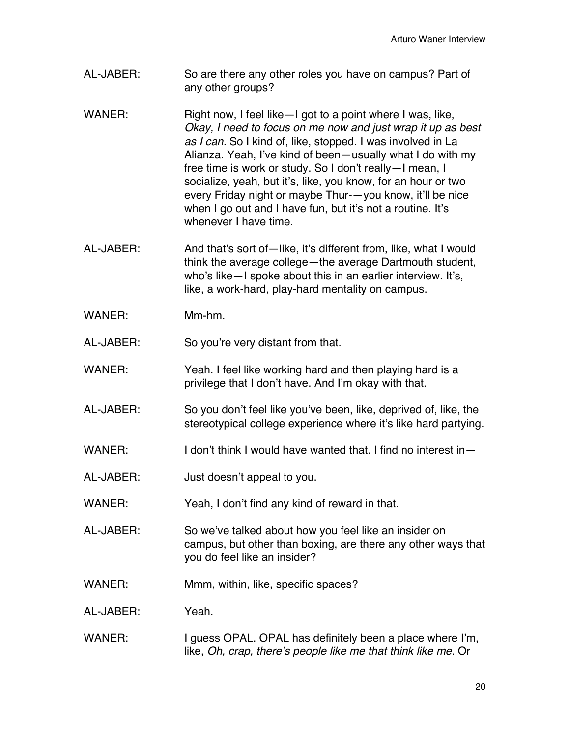- AL-JABER: So are there any other roles you have on campus? Part of any other groups?
- WANER: Right now, I feel like—I got to a point where I was, like, *Okay, I need to focus on me now and just wrap it up as best as I can.* So I kind of, like, stopped. I was involved in La Alianza. Yeah, I've kind of been—usually what I do with my free time is work or study. So I don't really—I mean, I socialize, yeah, but it's, like, you know, for an hour or two every Friday night or maybe Thur-—you know, it'll be nice when I go out and I have fun, but it's not a routine. It's whenever I have time.
- AL-JABER: And that's sort of—like, it's different from, like, what I would think the average college—the average Dartmouth student, who's like—I spoke about this in an earlier interview. It's, like, a work-hard, play-hard mentality on campus.
- WANER: Mm-hm.

AL-JABER: So you're very distant from that.

- WANER: Yeah. I feel like working hard and then playing hard is a privilege that I don't have. And I'm okay with that.
- AL-JABER: So you don't feel like you've been, like, deprived of, like, the stereotypical college experience where it's like hard partying.
- WANER: I don't think I would have wanted that. I find no interest in—
- AL-JABER: Just doesn't appeal to you.
- WANER: Yeah, I don't find any kind of reward in that.
- AL-JABER: So we've talked about how you feel like an insider on campus, but other than boxing, are there any other ways that you do feel like an insider?
- WANER: Mmm, within, like, specific spaces?
- AL-JABER: Yeah.
- WANER: I guess OPAL. OPAL has definitely been a place where I'm, like, *Oh, crap, there's people like me that think like me.* Or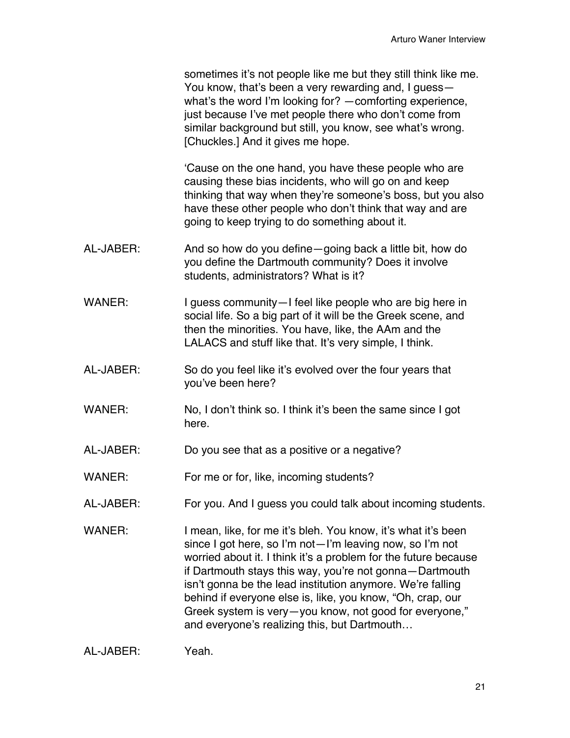'Cause on the one hand, you have these people who are causing these bias incidents, who will go on and keep thinking that way when they're someone's boss, but you also have these other people who don't think that way and are going to keep trying to do something about it.

- AL-JABER: And so how do you define—going back a little bit, how do you define the Dartmouth community? Does it involve students, administrators? What is it?
- WANER: I guess community—I feel like people who are big here in social life. So a big part of it will be the Greek scene, and then the minorities. You have, like, the AAm and the LALACS and stuff like that. It's very simple, I think.
- AL-JABER: So do you feel like it's evolved over the four years that you've been here?
- WANER: No, I don't think so. I think it's been the same since I got here.
- AL-JABER: Do you see that as a positive or a negative?
- WANER: For me or for, like, incoming students?
- AL-JABER: For you. And I guess you could talk about incoming students.
- WANER: I mean, like, for me it's bleh. You know, it's what it's been since I got here, so I'm not—I'm leaving now, so I'm not worried about it. I think it's a problem for the future because if Dartmouth stays this way, you're not gonna—Dartmouth isn't gonna be the lead institution anymore. We're falling behind if everyone else is, like, you know, "Oh, crap, our Greek system is very—you know, not good for everyone," and everyone's realizing this, but Dartmouth…

| AL-JABER: | Yeah. |
|-----------|-------|
|           |       |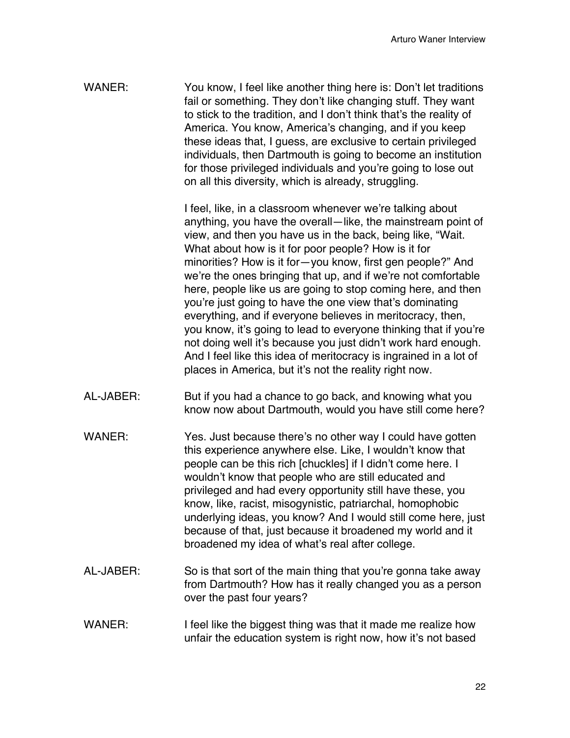WANER: You know, I feel like another thing here is: Don't let traditions fail or something. They don't like changing stuff. They want to stick to the tradition, and I don't think that's the reality of America. You know, America's changing, and if you keep these ideas that, I guess, are exclusive to certain privileged individuals, then Dartmouth is going to become an institution for those privileged individuals and you're going to lose out on all this diversity, which is already, struggling.

> I feel, like, in a classroom whenever we're talking about anything, you have the overall—like, the mainstream point of view, and then you have us in the back, being like, "Wait. What about how is it for poor people? How is it for minorities? How is it for—you know, first gen people?" And we're the ones bringing that up, and if we're not comfortable here, people like us are going to stop coming here, and then you're just going to have the one view that's dominating everything, and if everyone believes in meritocracy, then, you know, it's going to lead to everyone thinking that if you're not doing well it's because you just didn't work hard enough. And I feel like this idea of meritocracy is ingrained in a lot of places in America, but it's not the reality right now.

- AL-JABER: But if you had a chance to go back, and knowing what you know now about Dartmouth, would you have still come here?
- WANER: Yes. Just because there's no other way I could have gotten this experience anywhere else. Like, I wouldn't know that people can be this rich [chuckles] if I didn't come here. I wouldn't know that people who are still educated and privileged and had every opportunity still have these, you know, like, racist, misogynistic, patriarchal, homophobic underlying ideas, you know? And I would still come here, just because of that, just because it broadened my world and it broadened my idea of what's real after college.
- AL-JABER: So is that sort of the main thing that you're gonna take away from Dartmouth? How has it really changed you as a person over the past four years?
- WANER: I feel like the biggest thing was that it made me realize how unfair the education system is right now, how it's not based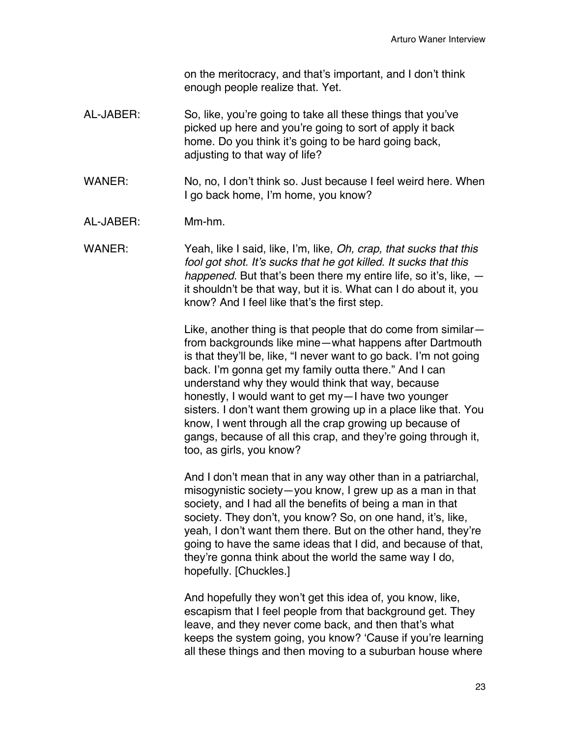on the meritocracy, and that's important, and I don't think enough people realize that. Yet.

- AL-JABER: So, like, you're going to take all these things that you've picked up here and you're going to sort of apply it back home. Do you think it's going to be hard going back, adjusting to that way of life?
- WANER: No, no, I don't think so. Just because I feel weird here. When I go back home, I'm home, you know?
- AL-JABER: Mm-hm.
- WANER: Yeah, like I said, like, I'm, like, *Oh, crap, that sucks that this fool got shot. It's sucks that he got killed. It sucks that this happened*. But that's been there my entire life, so it's, like, it shouldn't be that way, but it is. What can I do about it, you know? And I feel like that's the first step.

Like, another thing is that people that do come from similar from backgrounds like mine—what happens after Dartmouth is that they'll be, like, "I never want to go back. I'm not going back. I'm gonna get my family outta there." And I can understand why they would think that way, because honestly, I would want to get my—I have two younger sisters. I don't want them growing up in a place like that. You know, I went through all the crap growing up because of gangs, because of all this crap, and they're going through it, too, as girls, you know?

And I don't mean that in any way other than in a patriarchal, misogynistic society—you know, I grew up as a man in that society, and I had all the benefits of being a man in that society. They don't, you know? So, on one hand, it's, like, yeah, I don't want them there. But on the other hand, they're going to have the same ideas that I did, and because of that, they're gonna think about the world the same way I do, hopefully. [Chuckles.]

And hopefully they won't get this idea of, you know, like, escapism that I feel people from that background get. They leave, and they never come back, and then that's what keeps the system going, you know? 'Cause if you're learning all these things and then moving to a suburban house where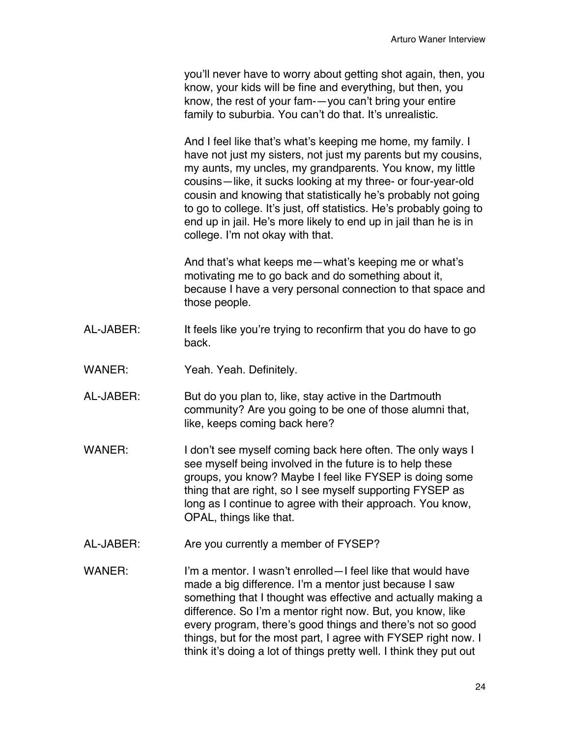you'll never have to worry about getting shot again, then, you know, your kids will be fine and everything, but then, you know, the rest of your fam-—you can't bring your entire family to suburbia. You can't do that. It's unrealistic.

And I feel like that's what's keeping me home, my family. I have not just my sisters, not just my parents but my cousins, my aunts, my uncles, my grandparents. You know, my little cousins—like, it sucks looking at my three- or four-year-old cousin and knowing that statistically he's probably not going to go to college. It's just, off statistics. He's probably going to end up in jail. He's more likely to end up in jail than he is in college. I'm not okay with that.

And that's what keeps me—what's keeping me or what's motivating me to go back and do something about it, because I have a very personal connection to that space and those people.

- AL-JABER: It feels like you're trying to reconfirm that you do have to go back.
- WANER: Yeah. Yeah. Definitely.
- AL-JABER: But do you plan to, like, stay active in the Dartmouth community? Are you going to be one of those alumni that, like, keeps coming back here?
- WANER: I don't see myself coming back here often. The only ways I see myself being involved in the future is to help these groups, you know? Maybe I feel like FYSEP is doing some thing that are right, so I see myself supporting FYSEP as long as I continue to agree with their approach. You know, OPAL, things like that.
- AL-JABER: Are you currently a member of FYSEP?
- WANER: I'm a mentor. I wasn't enrolled—I feel like that would have made a big difference. I'm a mentor just because I saw something that I thought was effective and actually making a difference. So I'm a mentor right now. But, you know, like every program, there's good things and there's not so good things, but for the most part, I agree with FYSEP right now. I think it's doing a lot of things pretty well. I think they put out